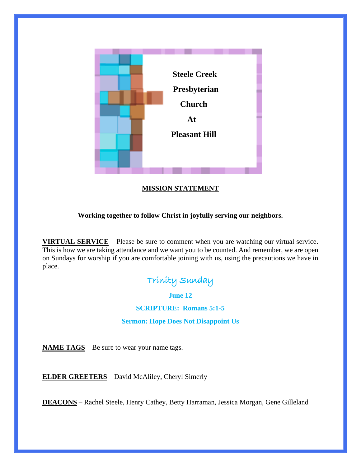

## **MISSION STATEMENT**

### **Working together to follow Christ in joyfully serving our neighbors.**

**VIRTUAL SERVICE** – Please be sure to comment when you are watching our virtual service. This is how we are taking attendance and we want you to be counted. And remember, we are open on Sundays for worship if you are comfortable joining with us, using the precautions we have in place.



**June 12**

**SCRIPTURE: Romans 5:1-5**

**Sermon: Hope Does Not Disappoint Us**

**NAME TAGS** – Be sure to wear your name tags.

**ELDER GREETERS** – David McAliley, Cheryl Simerly

**DEACONS** – Rachel Steele, Henry Cathey, Betty Harraman, Jessica Morgan, Gene Gilleland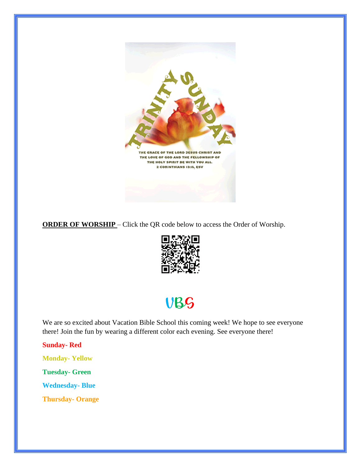

**ORDER OF WORSHIP** – Click the QR code below to access the Order of Worship.



# VBS

We are so excited about Vacation Bible School this coming week! We hope to see everyone there! Join the fun by wearing a different color each evening. See everyone there!

**Sunday- Red**

**Monday- Yellow** 

**Tuesday- Green** 

**Wednesday- Blue** 

**Thursday- Orange**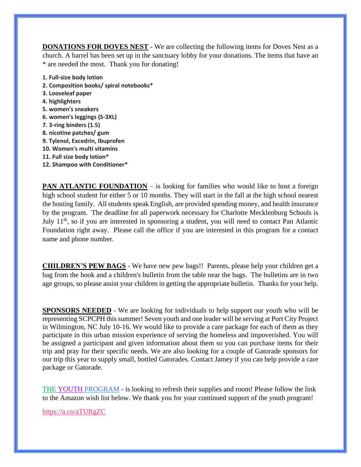**DONATIONS FOR DOVES NEST** - We are collecting the following items for Doves Nest as a church. A barrel has been set up in the sanctuary lobby for your donations. The items that have an \* are needed the most. Thank you for donating!

- **1. Full-size body lotion**
- **2. Composition books/ spiral notebooks\***
- **3. Looseleaf paper**
- **4. highlighters**
- **5. women's sneakers**
- **6. women's leggings (S-3XL)**
- **7. 3-ring binders (1.5)**
- **8. nicotine patches/ gum**
- **9. Tylenol, Excedrin, Ibuprofen**
- **10. Women's multi vitamins**
- **11. Full size body lotion\***
- **12. Shampoo with Conditioner\***

**PAN ATLANTIC FOUNDATION** – is looking for families who would like to host a foreign high school student for either 5 or 10 months. They will start in the fall at the high school nearest the hosting family. All students speak English, are provided spending money, and health insurance by the program. The deadline for all paperwork necessary for Charlotte Mecklenburg Schools is July  $11<sup>th</sup>$ , so if you are interested in sponsoring a student, you will need to contact Pan Atlantic Foundation right away. Please call the office if you are interested in this program for a contact name and phone number.

**CHILDREN'S PEW BAGS** - We have new pew bags!! Parents, please help your children get a bag from the hook and a children's bulletin from the table near the bags. The bulletins are in two age groups, so please assist your children in getting the appropriate bulletin. Thanks for your help.

**SPONSORS NEEDED** - We are looking for individuals to help support our youth who will be representing SCPCPH this summer! Seven youth and one leader will be serving at Port City Project in Wilmington, NC July 10-16. We would like to provide a care package for each of them as they participate in this urban mission experience of serving the homeless and impoverished. You will be assigned a participant and given information about them so you can purchase items for their trip and pray for their specific needs. We are also looking for a couple of Gatorade sponsors for our trip this year to supply small, bottled Gatorades. Contact Jamey if you can help provide a care package or Gatorade.

THE YOUTH PROGRAM - is looking to refresh their supplies and room! Please follow the link to the Amazon wish list below. We thank you for your continued support of the youth program!

<https://a.co/aTURgZC>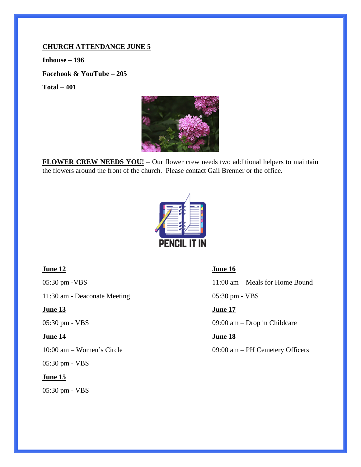### **CHURCH ATTENDANCE JUNE 5**

**Inhouse – 196 Facebook & YouTube – 205 Total – 401**



**FLOWER CREW NEEDS YOU!** – Our flower crew needs two additional helpers to maintain the flowers around the front of the church. Please contact Gail Brenner or the office.



11:30 am - Deaconate Meeting 05:30 pm - VBS

### *<u>June 13</u>**<b><i>June 17 <i>June 17*

05:30 pm - VBS

### **June 15**

05:30 pm - VBS

### *<u>June 12</u>**<b><i>June 16 <i>June 16*

05:30 pm -VBS 11:00 am – Meals for Home Bound

05:30 pm - VBS 09:00 am – Drop in Childcare

### *<u>June 14</u>**<b><i>June 18 <i>June 18*

10:00 am – Women's Circle 09:00 am – PH Cemetery Officers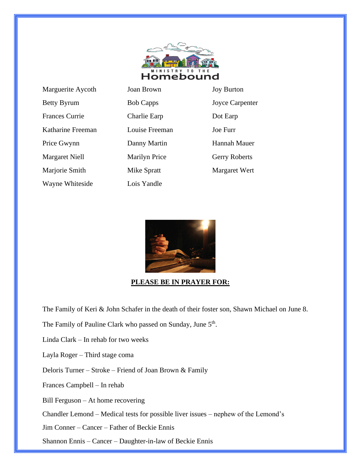

| Marguerite Aycoth     | Joan Brown           | <b>Joy Burt</b> |
|-----------------------|----------------------|-----------------|
| <b>Betty Byrum</b>    | <b>Bob Capps</b>     | Joyce C         |
| <b>Frances Currie</b> | Charlie Earp         | Dot Earl        |
| Katharine Freeman     | Louise Freeman       | Joe Furr        |
| Price Gwynn           | Danny Martin         | Hannah          |
| Margaret Niell        | <b>Marilyn Price</b> | Gerry R         |
| Marjorie Smith        | Mike Spratt          | Margare         |
| Wayne Whiteside       | Lois Yandle          |                 |

| <b>Joan Brown</b>    | <b>Joy Burton</b>      |
|----------------------|------------------------|
| <b>Bob Capps</b>     | <b>Joyce Carpenter</b> |
| Charlie Earp         | Dot Earp               |
| Louise Freeman       | Joe Furr               |
| Danny Martin         | Hannah Mauer           |
| <b>Marilyn Price</b> | <b>Gerry Roberts</b>   |
| Mike Spratt          | Margaret Wert          |
| Lois Yandle          |                        |

**PLEASE BE IN PRAYER FOR:**

The Family of Keri & John Schafer in the death of their foster son, Shawn Michael on June 8.

The Family of Pauline Clark who passed on Sunday, June 5<sup>th</sup>.

Linda Clark – In rehab for two weeks

Layla Roger – Third stage coma

Deloris Turner – Stroke – Friend of Joan Brown & Family

Frances Campbell – In rehab

Bill Ferguson – At home recovering

Chandler Lemond – Medical tests for possible liver issues – nephew of the Lemond's

Jim Conner – Cancer – Father of Beckie Ennis

Shannon Ennis – Cancer – Daughter-in-law of Beckie Ennis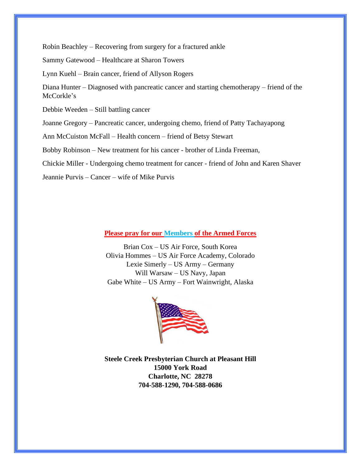Robin Beachley – Recovering from surgery for a fractured ankle

Sammy Gatewood – Healthcare at Sharon Towers

Lynn Kuehl – Brain cancer, friend of Allyson Rogers

Diana Hunter – Diagnosed with pancreatic cancer and starting chemotherapy – friend of the McCorkle's

Debbie Weeden – Still battling cancer

Joanne Gregory – Pancreatic cancer, undergoing chemo, friend of Patty Tachayapong

Ann McCuiston McFall – Health concern – friend of Betsy Stewart

Bobby Robinson – New treatment for his cancer - brother of Linda Freeman,

Chickie Miller - Undergoing chemo treatment for cancer - friend of John and Karen Shaver

Jeannie Purvis – Cancer – wife of Mike Purvis

### **Please pray for our Members of the Armed Forces**

Brian Cox – US Air Force, South Korea Olivia Hommes – US Air Force Academy, Colorado Lexie Simerly – US Army – Germany Will Warsaw – US Navy, Japan Gabe White – US Army – Fort Wainwright, Alaska



**Steele Creek Presbyterian Church at Pleasant Hill 15000 York Road Charlotte, NC 28278 704-588-1290, 704-588-0686**